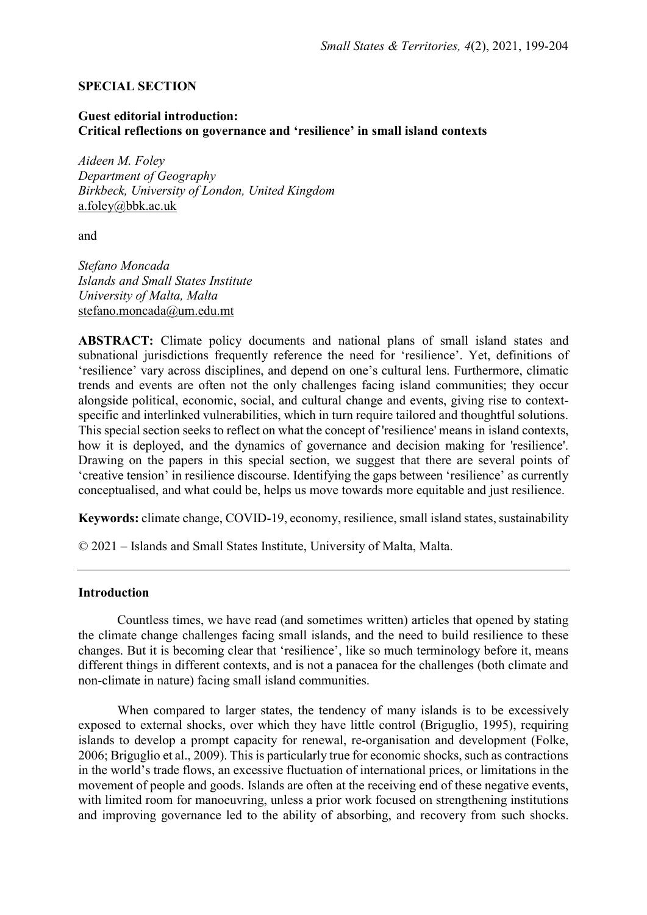## SPECIAL SECTION

## Guest editorial introduction: Critical reflections on governance and 'resilience' in small island contexts

Aideen M. Foley Department of Geography Birkbeck, University of London, United Kingdom a.foley@bbk.ac.uk

and

Stefano Moncada Islands and Small States Institute University of Malta, Malta stefano.moncada@um.edu.mt

ABSTRACT: Climate policy documents and national plans of small island states and subnational jurisdictions frequently reference the need for 'resilience'. Yet, definitions of 'resilience' vary across disciplines, and depend on one's cultural lens. Furthermore, climatic trends and events are often not the only challenges facing island communities; they occur alongside political, economic, social, and cultural change and events, giving rise to contextspecific and interlinked vulnerabilities, which in turn require tailored and thoughtful solutions. This special section seeks to reflect on what the concept of 'resilience' means in island contexts, how it is deployed, and the dynamics of governance and decision making for 'resilience'. Drawing on the papers in this special section, we suggest that there are several points of 'creative tension' in resilience discourse. Identifying the gaps between 'resilience' as currently conceptualised, and what could be, helps us move towards more equitable and just resilience.

Keywords: climate change, COVID-19, economy, resilience, small island states, sustainability

© 2021 – Islands and Small States Institute, University of Malta, Malta.

## Introduction

 Countless times, we have read (and sometimes written) articles that opened by stating the climate change challenges facing small islands, and the need to build resilience to these changes. But it is becoming clear that 'resilience', like so much terminology before it, means different things in different contexts, and is not a panacea for the challenges (both climate and non-climate in nature) facing small island communities.

When compared to larger states, the tendency of many islands is to be excessively exposed to external shocks, over which they have little control (Briguglio, 1995), requiring islands to develop a prompt capacity for renewal, re-organisation and development (Folke, 2006; Briguglio et al., 2009). This is particularly true for economic shocks, such as contractions in the world's trade flows, an excessive fluctuation of international prices, or limitations in the movement of people and goods. Islands are often at the receiving end of these negative events, with limited room for manoeuvring, unless a prior work focused on strengthening institutions and improving governance led to the ability of absorbing, and recovery from such shocks.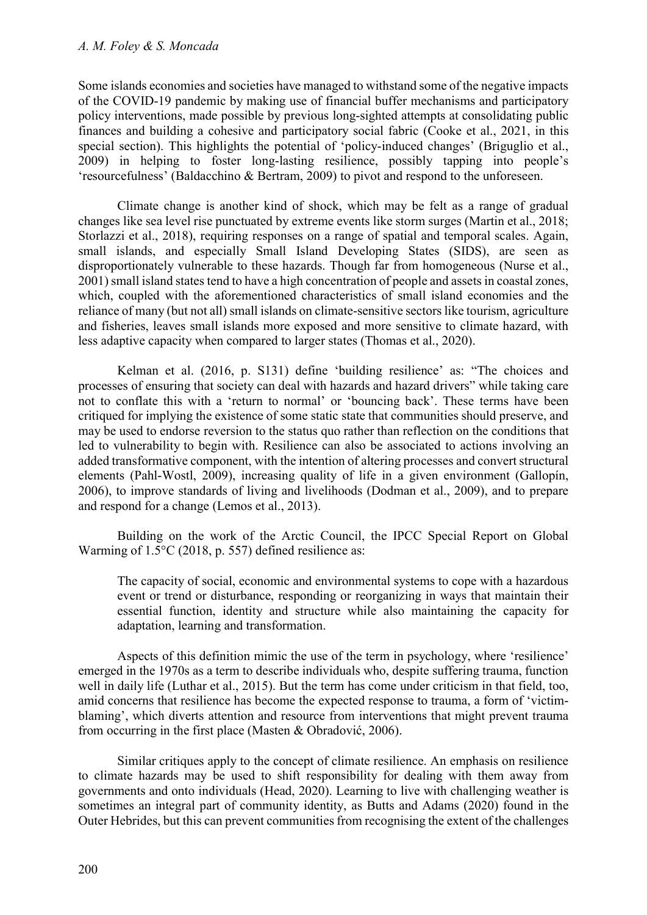#### A. M. Foley & S. Moncada

Some islands economies and societies have managed to withstand some of the negative impacts of the COVID-19 pandemic by making use of financial buffer mechanisms and participatory policy interventions, made possible by previous long-sighted attempts at consolidating public finances and building a cohesive and participatory social fabric (Cooke et al., 2021, in this special section). This highlights the potential of 'policy-induced changes' (Briguglio et al., 2009) in helping to foster long-lasting resilience, possibly tapping into people's 'resourcefulness' (Baldacchino & Bertram, 2009) to pivot and respond to the unforeseen.

 Climate change is another kind of shock, which may be felt as a range of gradual changes like sea level rise punctuated by extreme events like storm surges (Martin et al., 2018; Storlazzi et al., 2018), requiring responses on a range of spatial and temporal scales. Again, small islands, and especially Small Island Developing States (SIDS), are seen as disproportionately vulnerable to these hazards. Though far from homogeneous (Nurse et al., 2001) small island states tend to have a high concentration of people and assets in coastal zones, which, coupled with the aforementioned characteristics of small island economies and the reliance of many (but not all) small islands on climate-sensitive sectors like tourism, agriculture and fisheries, leaves small islands more exposed and more sensitive to climate hazard, with less adaptive capacity when compared to larger states (Thomas et al., 2020).

 Kelman et al. (2016, p. S131) define 'building resilience' as: "The choices and processes of ensuring that society can deal with hazards and hazard drivers" while taking care not to conflate this with a 'return to normal' or 'bouncing back'. These terms have been critiqued for implying the existence of some static state that communities should preserve, and may be used to endorse reversion to the status quo rather than reflection on the conditions that led to vulnerability to begin with. Resilience can also be associated to actions involving an added transformative component, with the intention of altering processes and convert structural elements (Pahl-Wostl, 2009), increasing quality of life in a given environment (Gallopín, 2006), to improve standards of living and livelihoods (Dodman et al., 2009), and to prepare and respond for a change (Lemos et al., 2013).

 Building on the work of the Arctic Council, the IPCC Special Report on Global Warming of 1.5°C (2018, p. 557) defined resilience as:

The capacity of social, economic and environmental systems to cope with a hazardous event or trend or disturbance, responding or reorganizing in ways that maintain their essential function, identity and structure while also maintaining the capacity for adaptation, learning and transformation.

Aspects of this definition mimic the use of the term in psychology, where 'resilience' emerged in the 1970s as a term to describe individuals who, despite suffering trauma, function well in daily life (Luthar et al., 2015). But the term has come under criticism in that field, too, amid concerns that resilience has become the expected response to trauma, a form of 'victimblaming', which diverts attention and resource from interventions that might prevent trauma from occurring in the first place (Masten & Obradović, 2006).

 Similar critiques apply to the concept of climate resilience. An emphasis on resilience to climate hazards may be used to shift responsibility for dealing with them away from governments and onto individuals (Head, 2020). Learning to live with challenging weather is sometimes an integral part of community identity, as Butts and Adams (2020) found in the Outer Hebrides, but this can prevent communities from recognising the extent of the challenges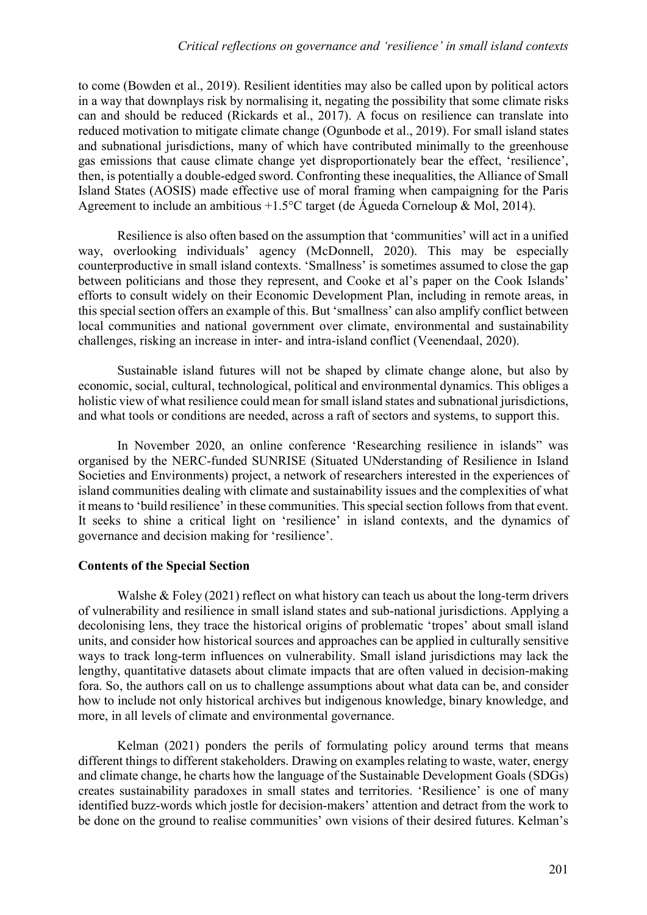to come (Bowden et al., 2019). Resilient identities may also be called upon by political actors in a way that downplays risk by normalising it, negating the possibility that some climate risks can and should be reduced (Rickards et al., 2017). A focus on resilience can translate into reduced motivation to mitigate climate change (Ogunbode et al., 2019). For small island states and subnational jurisdictions, many of which have contributed minimally to the greenhouse gas emissions that cause climate change yet disproportionately bear the effect, 'resilience', then, is potentially a double-edged sword. Confronting these inequalities, the Alliance of Small Island States (AOSIS) made effective use of moral framing when campaigning for the Paris Agreement to include an ambitious +1.5°C target (de Águeda Corneloup & Mol, 2014).

 Resilience is also often based on the assumption that 'communities' will act in a unified way, overlooking individuals' agency (McDonnell, 2020). This may be especially counterproductive in small island contexts. 'Smallness' is sometimes assumed to close the gap between politicians and those they represent, and Cooke et al's paper on the Cook Islands' efforts to consult widely on their Economic Development Plan, including in remote areas, in this special section offers an example of this. But 'smallness' can also amplify conflict between local communities and national government over climate, environmental and sustainability challenges, risking an increase in inter- and intra-island conflict (Veenendaal, 2020).

 Sustainable island futures will not be shaped by climate change alone, but also by economic, social, cultural, technological, political and environmental dynamics. This obliges a holistic view of what resilience could mean for small island states and subnational jurisdictions, and what tools or conditions are needed, across a raft of sectors and systems, to support this.

 In November 2020, an online conference 'Researching resilience in islands" was organised by the NERC-funded SUNRISE (Situated UNderstanding of Resilience in Island Societies and Environments) project, a network of researchers interested in the experiences of island communities dealing with climate and sustainability issues and the complexities of what it means to 'build resilience' in these communities. This special section follows from that event. It seeks to shine a critical light on 'resilience' in island contexts, and the dynamics of governance and decision making for 'resilience'.

# Contents of the Special Section

Walshe & Foley (2021) reflect on what history can teach us about the long-term drivers of vulnerability and resilience in small island states and sub-national jurisdictions. Applying a decolonising lens, they trace the historical origins of problematic 'tropes' about small island units, and consider how historical sources and approaches can be applied in culturally sensitive ways to track long-term influences on vulnerability. Small island jurisdictions may lack the lengthy, quantitative datasets about climate impacts that are often valued in decision-making fora. So, the authors call on us to challenge assumptions about what data can be, and consider how to include not only historical archives but indigenous knowledge, binary knowledge, and more, in all levels of climate and environmental governance.

 Kelman (2021) ponders the perils of formulating policy around terms that means different things to different stakeholders. Drawing on examples relating to waste, water, energy and climate change, he charts how the language of the Sustainable Development Goals (SDGs) creates sustainability paradoxes in small states and territories. 'Resilience' is one of many identified buzz-words which jostle for decision-makers' attention and detract from the work to be done on the ground to realise communities' own visions of their desired futures. Kelman's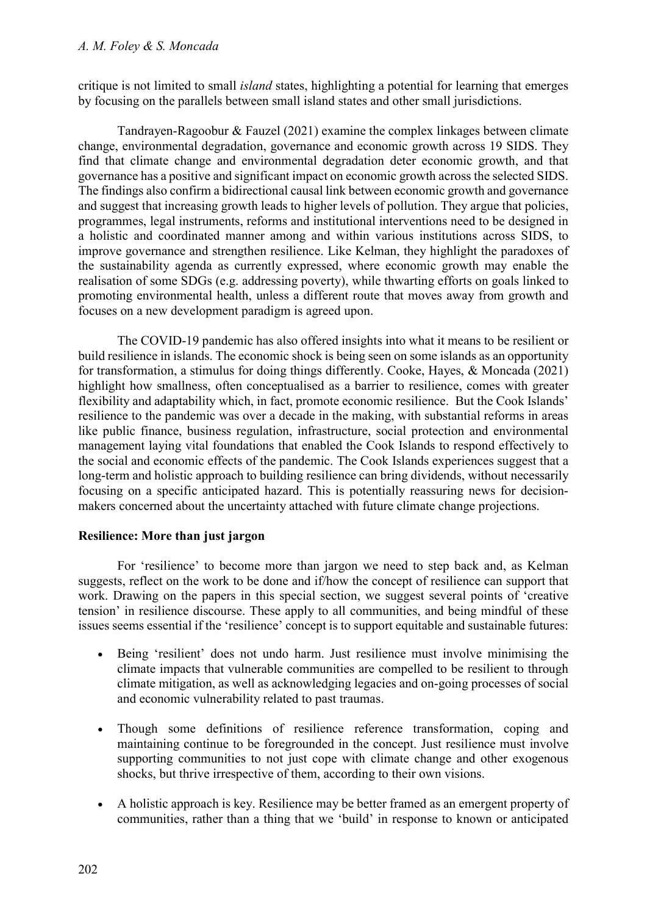critique is not limited to small *island* states, highlighting a potential for learning that emerges by focusing on the parallels between small island states and other small jurisdictions.

 Tandrayen-Ragoobur & Fauzel (2021) examine the complex linkages between climate change, environmental degradation, governance and economic growth across 19 SIDS. They find that climate change and environmental degradation deter economic growth, and that governance has a positive and significant impact on economic growth across the selected SIDS. The findings also confirm a bidirectional causal link between economic growth and governance and suggest that increasing growth leads to higher levels of pollution. They argue that policies, programmes, legal instruments, reforms and institutional interventions need to be designed in a holistic and coordinated manner among and within various institutions across SIDS, to improve governance and strengthen resilience. Like Kelman, they highlight the paradoxes of the sustainability agenda as currently expressed, where economic growth may enable the realisation of some SDGs (e.g. addressing poverty), while thwarting efforts on goals linked to promoting environmental health, unless a different route that moves away from growth and focuses on a new development paradigm is agreed upon.

 The COVID-19 pandemic has also offered insights into what it means to be resilient or build resilience in islands. The economic shock is being seen on some islands as an opportunity for transformation, a stimulus for doing things differently. Cooke, Hayes, & Moncada (2021) highlight how smallness, often conceptualised as a barrier to resilience, comes with greater flexibility and adaptability which, in fact, promote economic resilience. But the Cook Islands' resilience to the pandemic was over a decade in the making, with substantial reforms in areas like public finance, business regulation, infrastructure, social protection and environmental management laying vital foundations that enabled the Cook Islands to respond effectively to the social and economic effects of the pandemic. The Cook Islands experiences suggest that a long-term and holistic approach to building resilience can bring dividends, without necessarily focusing on a specific anticipated hazard. This is potentially reassuring news for decisionmakers concerned about the uncertainty attached with future climate change projections.

# Resilience: More than just jargon

 For 'resilience' to become more than jargon we need to step back and, as Kelman suggests, reflect on the work to be done and if/how the concept of resilience can support that work. Drawing on the papers in this special section, we suggest several points of 'creative tension' in resilience discourse. These apply to all communities, and being mindful of these issues seems essential if the 'resilience' concept is to support equitable and sustainable futures:

- Being 'resilient' does not undo harm. Just resilience must involve minimising the climate impacts that vulnerable communities are compelled to be resilient to through climate mitigation, as well as acknowledging legacies and on-going processes of social and economic vulnerability related to past traumas.
- Though some definitions of resilience reference transformation, coping and maintaining continue to be foregrounded in the concept. Just resilience must involve supporting communities to not just cope with climate change and other exogenous shocks, but thrive irrespective of them, according to their own visions.
- A holistic approach is key. Resilience may be better framed as an emergent property of communities, rather than a thing that we 'build' in response to known or anticipated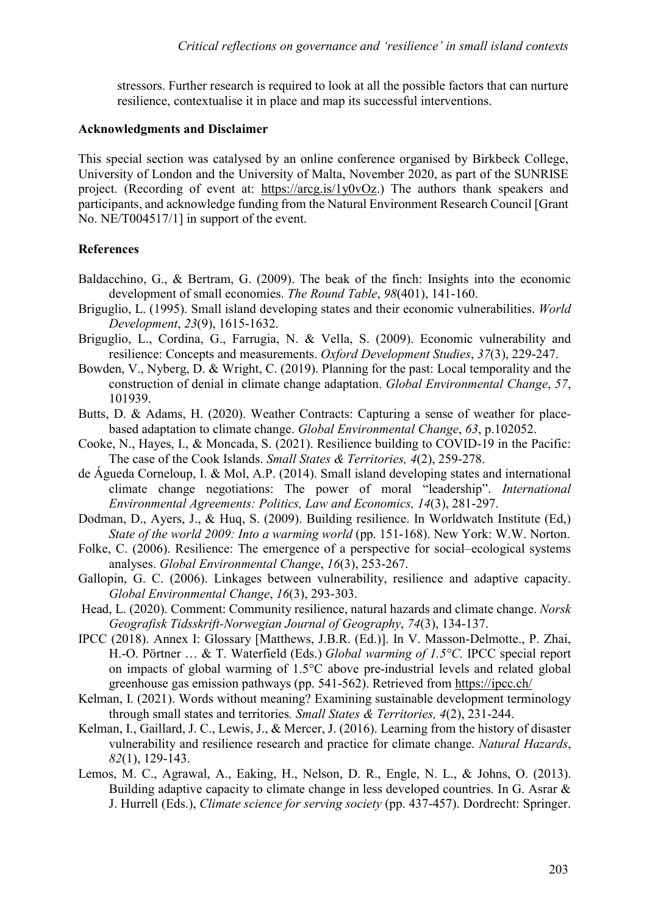stressors. Further research is required to look at all the possible factors that can nurture resilience, contextualise it in place and map its successful interventions.

#### Acknowledgments and Disclaimer

This special section was catalysed by an online conference organised by Birkbeck College, University of London and the University of Malta, November 2020, as part of the SUNRISE project. (Recording of event at: https://arcg.is/1y0vOz.) The authors thank speakers and participants, and acknowledge funding from the Natural Environment Research Council [Grant No. NE/T004517/1] in support of the event.

### References

- Baldacchino, G., & Bertram, G. (2009). The beak of the finch: Insights into the economic development of small economies. The Round Table, 98(401), 141-160.
- Briguglio, L. (1995). Small island developing states and their economic vulnerabilities. World Development, 23(9), 1615-1632.
- Briguglio, L., Cordina, G., Farrugia, N. & Vella, S. (2009). Economic vulnerability and resilience: Concepts and measurements. Oxford Development Studies, 37(3), 229-247.
- Bowden, V., Nyberg, D. & Wright, C. (2019). Planning for the past: Local temporality and the construction of denial in climate change adaptation. Global Environmental Change, 57, 101939.
- Butts, D. & Adams, H. (2020). Weather Contracts: Capturing a sense of weather for placebased adaptation to climate change. Global Environmental Change, 63, p.102052.
- Cooke, N., Hayes, I., & Moncada, S. (2021). Resilience building to COVID-19 in the Pacific: The case of the Cook Islands. Small States & Territories, 4(2), 259-278.
- de Águeda Corneloup, I. & Mol, A.P. (2014). Small island developing states and international climate change negotiations: The power of moral "leadership". International Environmental Agreements: Politics, Law and Economics, 14(3), 281-297.
- Dodman, D., Ayers, J., & Huq, S. (2009). Building resilience. In Worldwatch Institute (Ed,) State of the world 2009: Into a warming world (pp. 151-168). New York: W.W. Norton.
- Folke, C. (2006). Resilience: The emergence of a perspective for social–ecological systems analyses. Global Environmental Change, 16(3), 253-267.
- Gallopin, G. C. (2006). Linkages between vulnerability, resilience and adaptive capacity. Global Environmental Change, 16(3), 293-303.
- Head, L. (2020). Comment: Community resilience, natural hazards and climate change. Norsk Geografisk Tidsskrift-Norwegian Journal of Geography, 74(3), 134-137.
- IPCC (2018). Annex I: Glossary [Matthews, J.B.R. (Ed.)]. In V. Masson-Delmotte., P. Zhai, H.-O. Pörtner ... & T. Waterfield (Eds.) Global warming of 1.5°C. IPCC special report on impacts of global warming of 1.5°C above pre-industrial levels and related global greenhouse gas emission pathways (pp. 541-562). Retrieved from https://ipcc.ch/
- Kelman, I. (2021). Words without meaning? Examining sustainable development terminology through small states and territories. Small States & Territories, 4(2), 231-244.
- Kelman, I., Gaillard, J. C., Lewis, J., & Mercer, J. (2016). Learning from the history of disaster vulnerability and resilience research and practice for climate change. Natural Hazards, 82(1), 129-143.
- Lemos, M. C., Agrawal, A., Eaking, H., Nelson, D. R., Engle, N. L., & Johns, O. (2013). Building adaptive capacity to climate change in less developed countries. In G. Asrar & J. Hurrell (Eds.), Climate science for serving society (pp. 437-457). Dordrecht: Springer.